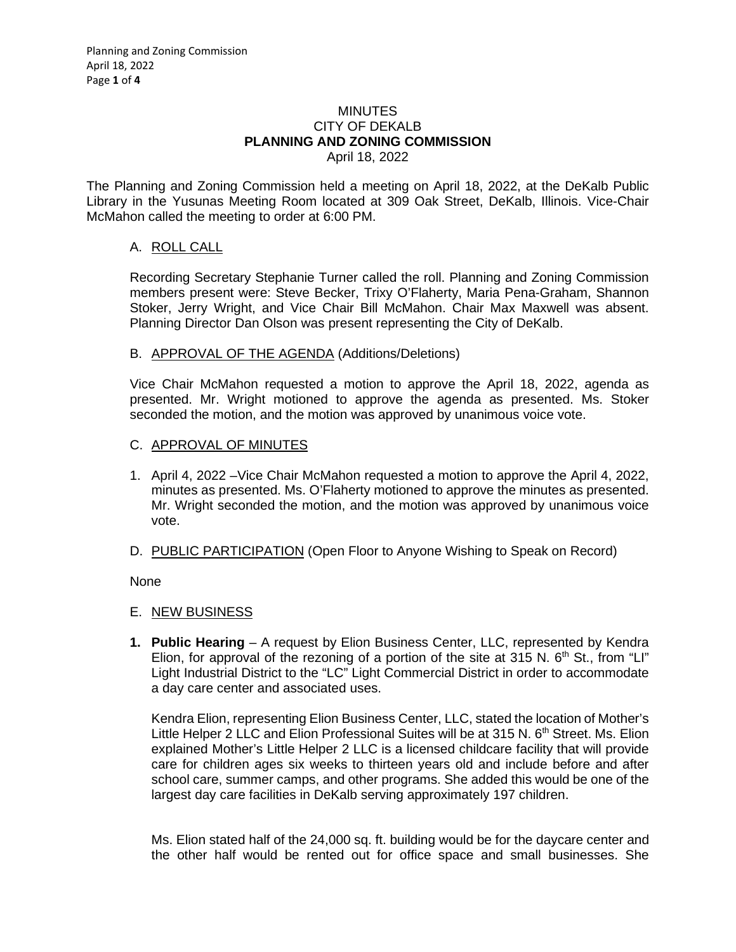#### **MINUTES** CITY OF DEKALB **PLANNING AND ZONING COMMISSION** April 18, 2022

The Planning and Zoning Commission held a meeting on April 18, 2022, at the DeKalb Public Library in the Yusunas Meeting Room located at 309 Oak Street, DeKalb, Illinois. Vice-Chair McMahon called the meeting to order at 6:00 PM.

# A. ROLL CALL

Recording Secretary Stephanie Turner called the roll. Planning and Zoning Commission members present were: Steve Becker, Trixy O'Flaherty, Maria Pena-Graham, Shannon Stoker, Jerry Wright, and Vice Chair Bill McMahon. Chair Max Maxwell was absent. Planning Director Dan Olson was present representing the City of DeKalb.

# B. APPROVAL OF THE AGENDA (Additions/Deletions)

Vice Chair McMahon requested a motion to approve the April 18, 2022, agenda as presented. Mr. Wright motioned to approve the agenda as presented. Ms. Stoker seconded the motion, and the motion was approved by unanimous voice vote.

### C. APPROVAL OF MINUTES

- 1. April 4, 2022 –Vice Chair McMahon requested a motion to approve the April 4, 2022, minutes as presented. Ms. O'Flaherty motioned to approve the minutes as presented. Mr. Wright seconded the motion, and the motion was approved by unanimous voice vote.
- D. PUBLIC PARTICIPATION (Open Floor to Anyone Wishing to Speak on Record)

None

#### E. NEW BUSINESS

**1. Public Hearing** – A request by Elion Business Center, LLC, represented by Kendra Elion, for approval of the rezoning of a portion of the site at 315 N.  $6<sup>th</sup>$  St., from "LI" Light Industrial District to the "LC" Light Commercial District in order to accommodate a day care center and associated uses.

Kendra Elion, representing Elion Business Center, LLC, stated the location of Mother's Little Helper 2 LLC and Elion Professional Suites will be at 315 N. 6<sup>th</sup> Street. Ms. Elion explained Mother's Little Helper 2 LLC is a licensed childcare facility that will provide care for children ages six weeks to thirteen years old and include before and after school care, summer camps, and other programs. She added this would be one of the largest day care facilities in DeKalb serving approximately 197 children.

Ms. Elion stated half of the 24,000 sq. ft. building would be for the daycare center and the other half would be rented out for office space and small businesses. She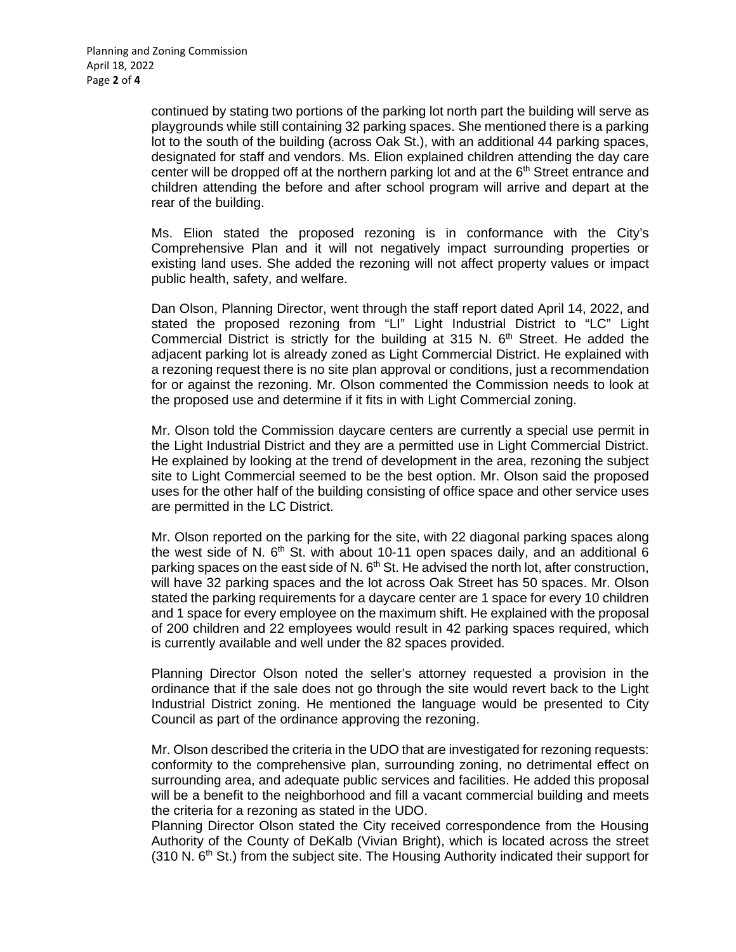continued by stating two portions of the parking lot north part the building will serve as playgrounds while still containing 32 parking spaces. She mentioned there is a parking lot to the south of the building (across Oak St.), with an additional 44 parking spaces, designated for staff and vendors. Ms. Elion explained children attending the day care center will be dropped off at the northern parking lot and at the  $6<sup>th</sup>$  Street entrance and children attending the before and after school program will arrive and depart at the rear of the building.

Ms. Elion stated the proposed rezoning is in conformance with the City's Comprehensive Plan and it will not negatively impact surrounding properties or existing land uses. She added the rezoning will not affect property values or impact public health, safety, and welfare.

Dan Olson, Planning Director, went through the staff report dated April 14, 2022, and stated the proposed rezoning from "LI" Light Industrial District to "LC" Light Commercial District is strictly for the building at 315 N.  $6<sup>th</sup>$  Street. He added the adjacent parking lot is already zoned as Light Commercial District. He explained with a rezoning request there is no site plan approval or conditions, just a recommendation for or against the rezoning. Mr. Olson commented the Commission needs to look at the proposed use and determine if it fits in with Light Commercial zoning.

Mr. Olson told the Commission daycare centers are currently a special use permit in the Light Industrial District and they are a permitted use in Light Commercial District. He explained by looking at the trend of development in the area, rezoning the subject site to Light Commercial seemed to be the best option. Mr. Olson said the proposed uses for the other half of the building consisting of office space and other service uses are permitted in the LC District.

Mr. Olson reported on the parking for the site, with 22 diagonal parking spaces along the west side of N.  $6<sup>th</sup>$  St. with about 10-11 open spaces daily, and an additional 6 parking spaces on the east side of N.  $6<sup>th</sup>$  St. He advised the north lot, after construction, will have 32 parking spaces and the lot across Oak Street has 50 spaces. Mr. Olson stated the parking requirements for a daycare center are 1 space for every 10 children and 1 space for every employee on the maximum shift. He explained with the proposal of 200 children and 22 employees would result in 42 parking spaces required, which is currently available and well under the 82 spaces provided.

Planning Director Olson noted the seller's attorney requested a provision in the ordinance that if the sale does not go through the site would revert back to the Light Industrial District zoning. He mentioned the language would be presented to City Council as part of the ordinance approving the rezoning.

Mr. Olson described the criteria in the UDO that are investigated for rezoning requests: conformity to the comprehensive plan, surrounding zoning, no detrimental effect on surrounding area, and adequate public services and facilities. He added this proposal will be a benefit to the neighborhood and fill a vacant commercial building and meets the criteria for a rezoning as stated in the UDO.

Planning Director Olson stated the City received correspondence from the Housing Authority of the County of DeKalb (Vivian Bright), which is located across the street  $(310 \text{ N}.\,6^{\text{th}}\text{ St.})$  from the subject site. The Housing Authority indicated their support for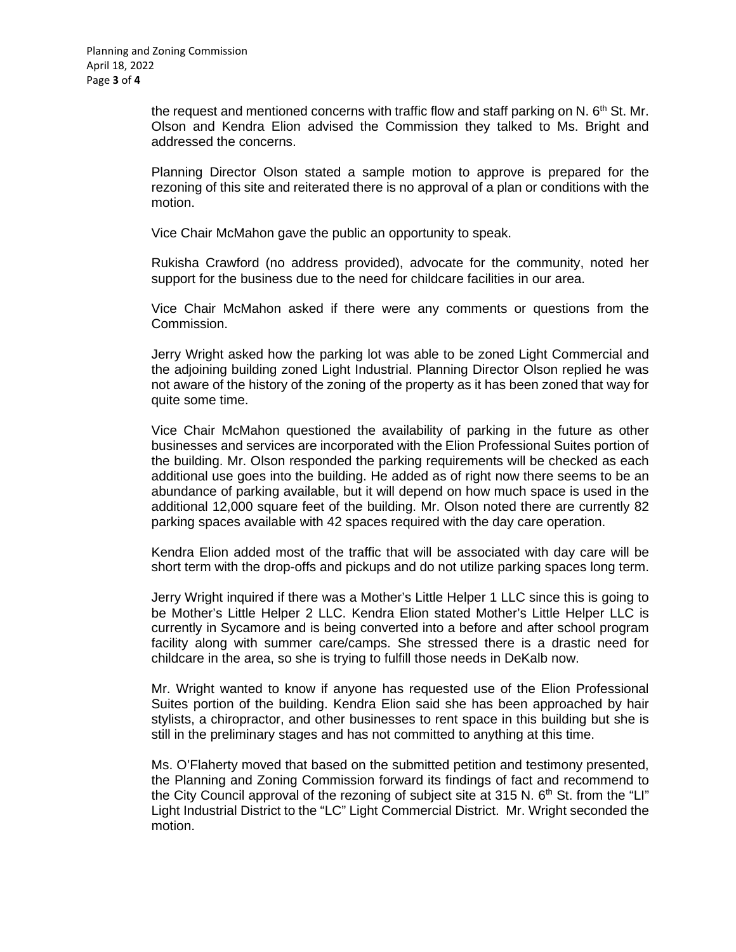the request and mentioned concerns with traffic flow and staff parking on N.  $6<sup>th</sup>$  St. Mr. Olson and Kendra Elion advised the Commission they talked to Ms. Bright and addressed the concerns.

Planning Director Olson stated a sample motion to approve is prepared for the rezoning of this site and reiterated there is no approval of a plan or conditions with the motion.

Vice Chair McMahon gave the public an opportunity to speak.

Rukisha Crawford (no address provided), advocate for the community, noted her support for the business due to the need for childcare facilities in our area.

Vice Chair McMahon asked if there were any comments or questions from the Commission.

Jerry Wright asked how the parking lot was able to be zoned Light Commercial and the adjoining building zoned Light Industrial. Planning Director Olson replied he was not aware of the history of the zoning of the property as it has been zoned that way for quite some time.

Vice Chair McMahon questioned the availability of parking in the future as other businesses and services are incorporated with the Elion Professional Suites portion of the building. Mr. Olson responded the parking requirements will be checked as each additional use goes into the building. He added as of right now there seems to be an abundance of parking available, but it will depend on how much space is used in the additional 12,000 square feet of the building. Mr. Olson noted there are currently 82 parking spaces available with 42 spaces required with the day care operation.

Kendra Elion added most of the traffic that will be associated with day care will be short term with the drop-offs and pickups and do not utilize parking spaces long term.

Jerry Wright inquired if there was a Mother's Little Helper 1 LLC since this is going to be Mother's Little Helper 2 LLC. Kendra Elion stated Mother's Little Helper LLC is currently in Sycamore and is being converted into a before and after school program facility along with summer care/camps. She stressed there is a drastic need for childcare in the area, so she is trying to fulfill those needs in DeKalb now.

Mr. Wright wanted to know if anyone has requested use of the Elion Professional Suites portion of the building. Kendra Elion said she has been approached by hair stylists, a chiropractor, and other businesses to rent space in this building but she is still in the preliminary stages and has not committed to anything at this time.

Ms. O'Flaherty moved that based on the submitted petition and testimony presented, the Planning and Zoning Commission forward its findings of fact and recommend to the City Council approval of the rezoning of subject site at 315 N.  $6<sup>th</sup>$  St. from the "LI" Light Industrial District to the "LC" Light Commercial District. Mr. Wright seconded the motion.